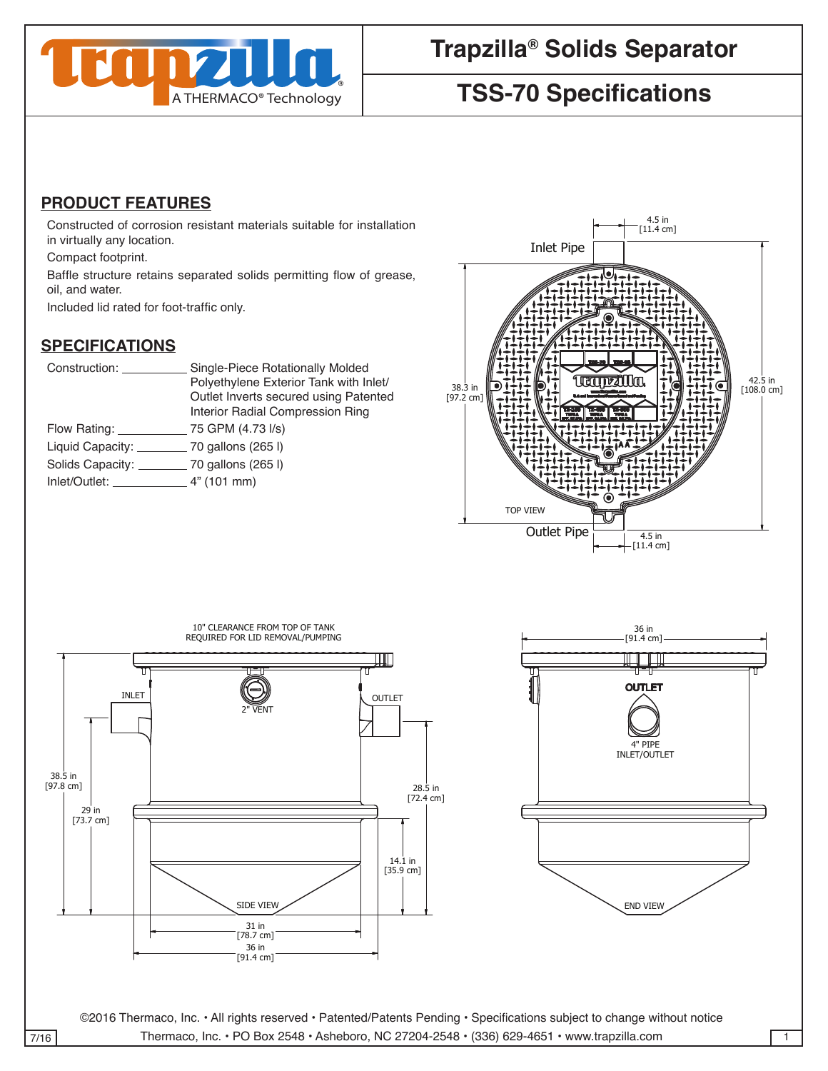

# **Trapzilla® Solids Separator**

## **TSS-70 Specifications**

### 4 **PRODUCT FEATURES**

Constructed of corrosion resistant materials suitable for installation in virtually any location.

Compact footprint.

Baffle structure retains separated solids permitting flow of grease, oil, and water.

Included lid rated for foot-traffic only.

#### **SPECIFICATIONS**

| Construction:                                                                                                  | Single-Piece Rotationally Molded       |
|----------------------------------------------------------------------------------------------------------------|----------------------------------------|
|                                                                                                                | Polyethylene Exterior Tank with Inlet/ |
|                                                                                                                | Outlet Inverts secured using Patented  |
|                                                                                                                | Interior Radial Compression Ring       |
| Flow Rating:                                                                                                   | 75 GPM (4.73 I/s)                      |
| Liquid Capacity:                                                                                               | 70 gallons (265 l)                     |
| Solids Capacity:                                                                                               | $\_$ 70 gallons (265 l)                |
| Inlet/Outlet: The control of the control of the control of the control of the control of the control of the co | 4" (101 mm)                            |
|                                                                                                                |                                        |



contract the contract of the contract of the contract of the contract of the contract of the contract of the c

contract the contract of the contract of the contract of the contract of the contract of the contract of the c





©2016 Thermaco, Inc. • All rights reserved • Patented/Patents Pending • Specifications subject to change without notice 7/16 Thermaco, Inc. • PO Box 2548 • Asheboro, NC 27204-2548 • (336) 629-4651 • www.trapzilla.com

Unless otherwise specified

Unless otherwise specified

DRAWN DATE COMPANY OF THE COMPANY OF THE COMPANY

CHECKED SIZE REV. NO. DWG NO.